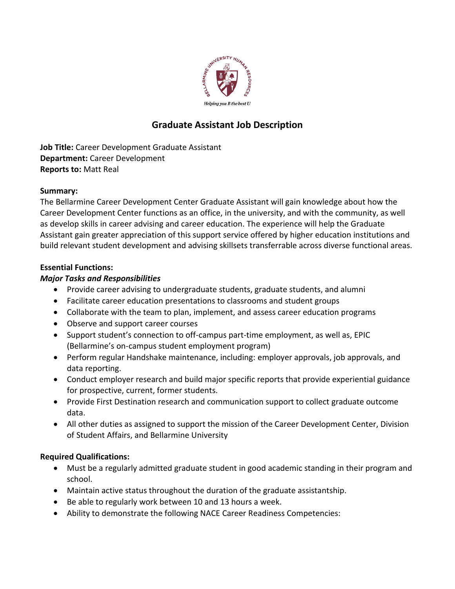

# **Graduate Assistant Job Description**

**Job Title:** Career Development Graduate Assistant **Department:** Career Development **Reports to:** Matt Real

# **Summary:**

The Bellarmine Career Development Center Graduate Assistant will gain knowledge about how the Career Development Center functions as an office, in the university, and with the community, as well as develop skills in career advising and career education. The experience will help the Graduate Assistant gain greater appreciation of this support service offered by higher education institutions and build relevant student development and advising skillsets transferrable across diverse functional areas.

# **Essential Functions:**

# *Major Tasks and Responsibilities*

- Provide career advising to undergraduate students, graduate students, and alumni
- Facilitate career education presentations to classrooms and student groups
- Collaborate with the team to plan, implement, and assess career education programs
- Observe and support career courses
- Support student's connection to off-campus part-time employment, as well as, EPIC (Bellarmine's on-campus student employment program)
- Perform regular Handshake maintenance, including: employer approvals, job approvals, and data reporting.
- Conduct employer research and build major specific reports that provide experiential guidance for prospective, current, former students.
- Provide First Destination research and communication support to collect graduate outcome data.
- All other duties as assigned to support the mission of the Career Development Center, Division of Student Affairs, and Bellarmine University

# **Required Qualifications:**

- Must be a regularly admitted graduate student in good academic standing in their program and school.
- Maintain active status throughout the duration of the graduate assistantship.
- Be able to regularly work between 10 and 13 hours a week.
- Ability to demonstrate the following NACE Career Readiness Competencies: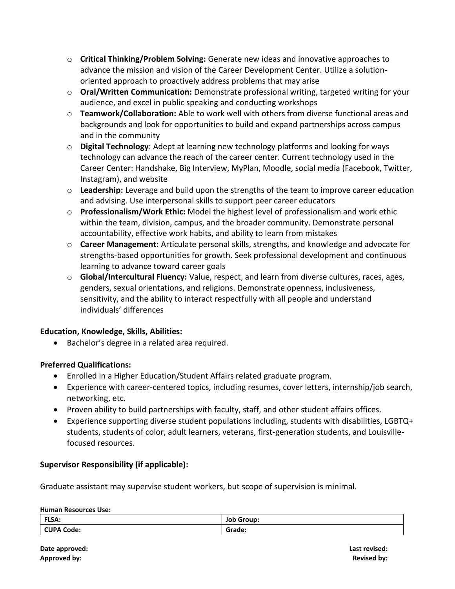- o **Critical Thinking/Problem Solving:** Generate new ideas and innovative approaches to advance the mission and vision of the Career Development Center. Utilize a solutionoriented approach to proactively address problems that may arise
- o **Oral/Written Communication:** Demonstrate professional writing, targeted writing for your audience, and excel in public speaking and conducting workshops
- o **Teamwork/Collaboration:** Able to work well with others from diverse functional areas and backgrounds and look for opportunities to build and expand partnerships across campus and in the community
- o **Digital Technology**: Adept at learning new technology platforms and looking for ways technology can advance the reach of the career center. Current technology used in the Career Center: Handshake, Big Interview, MyPlan, Moodle, social media (Facebook, Twitter, Instagram), and website
- o **Leadership:** Leverage and build upon the strengths of the team to improve career education and advising. Use interpersonal skills to support peer career educators
- o **Professionalism/Work Ethic:** Model the highest level of professionalism and work ethic within the team, division, campus, and the broader community. Demonstrate personal accountability, effective work habits, and ability to learn from mistakes
- o **Career Management:** Articulate personal skills, strengths, and knowledge and advocate for strengths-based opportunities for growth. Seek professional development and continuous learning to advance toward career goals
- o **Global/Intercultural Fluency:** Value, respect, and learn from diverse cultures, races, ages, genders, sexual orientations, and religions. Demonstrate openness, inclusiveness, sensitivity, and the ability to interact respectfully with all people and understand individuals' differences

# **Education, Knowledge, Skills, Abilities:**

• Bachelor's degree in a related area required.

# **Preferred Qualifications:**

- Enrolled in a Higher Education/Student Affairs related graduate program.
- Experience with career-centered topics, including resumes, cover letters, internship/job search, networking, etc.
- Proven ability to build partnerships with faculty, staff, and other student affairs offices.
- Experience supporting diverse student populations including, students with disabilities, LGBTQ+ students, students of color, adult learners, veterans, first-generation students, and Louisvillefocused resources.

# **Supervisor Responsibility (if applicable):**

Graduate assistant may supervise student workers, but scope of supervision is minimal.

#### **Human Resources Use:**

| <b>FLSA:</b>      | <b>Job Group:</b> |
|-------------------|-------------------|
| <b>CUPA Code:</b> | Grade:<br>.       |